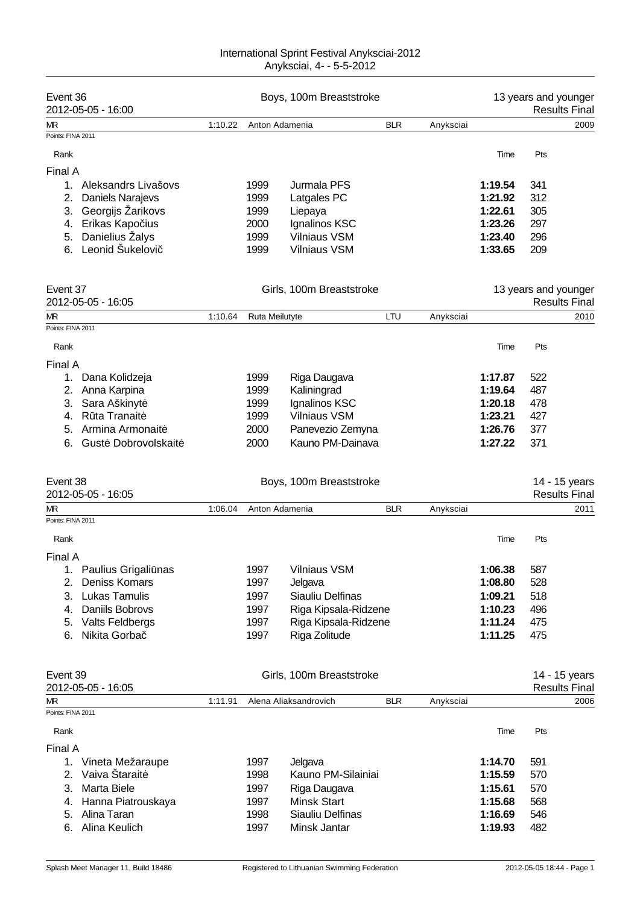| Event 36<br>2012-05-05 - 16:00 | Boys, 100m Breaststroke |                |                          |            | 13 years and younger<br><b>Results Final</b> |         |                      |                      |
|--------------------------------|-------------------------|----------------|--------------------------|------------|----------------------------------------------|---------|----------------------|----------------------|
| ΜR                             | 1:10.22                 | Anton Adamenia |                          | <b>BLR</b> | Anyksciai                                    |         |                      | 2009                 |
| Points: FINA 2011              |                         |                |                          |            |                                              |         |                      |                      |
| Rank                           |                         |                |                          |            |                                              | Time    | Pts                  |                      |
| Final A                        |                         |                |                          |            |                                              |         |                      |                      |
| Aleksandrs Livašovs<br>1.      |                         | 1999           | Jurmala PFS              |            |                                              | 1:19.54 | 341                  |                      |
| 2.<br><b>Daniels Narajevs</b>  |                         | 1999           | Latgales PC              |            |                                              | 1:21.92 | 312                  |                      |
| Georgijs Žarikovs<br>3.        |                         | 1999           | Liepaya                  |            |                                              | 1:22.61 | 305                  |                      |
| Erikas Kapo ius<br>4.          |                         | 2000           | Ignalinos KSC            |            |                                              | 1:23.26 | 297                  |                      |
| Danielius Žalys<br>5.          |                         | 1999           | <b>Vilniaus VSM</b>      |            |                                              | 1:23.40 | 296                  |                      |
| Leonid Šukelovi<br>6.          |                         | 1999           | <b>Vilniaus VSM</b>      |            |                                              | 1:33.65 | 209                  |                      |
| Event 37                       |                         |                | Girls, 100m Breaststroke |            |                                              |         | 13 years and younger |                      |
| 2012-05-05 - 16:05             |                         |                |                          |            |                                              |         |                      | <b>Results Final</b> |
| ΜR<br>Points: FINA 2011        | 1:10.64                 | Ruta Meilutyte |                          | LTU        | Anyksciai                                    |         |                      | 2010                 |
|                                |                         |                |                          |            |                                              |         |                      |                      |
| Rank                           |                         |                |                          |            |                                              | Time    | Pts                  |                      |
| Final A                        |                         |                |                          |            |                                              |         |                      |                      |
| 1.<br>Dana Kolidzeja           |                         | 1999           | Riga Daugava             |            |                                              | 1:17.87 | 522                  |                      |
| Anna Karpina<br>2.             |                         | 1999           | Kaliningrad              |            |                                              | 1:19.64 | 487                  |                      |
| Sara Aškinyt<br>3.             |                         | 1999           | Ignalinos KSC            |            |                                              | 1:20.18 | 478                  |                      |
| R ta Tranait<br>4.             |                         | 1999           | <b>Vilniaus VSM</b>      |            |                                              | 1:23.21 | 427                  |                      |
| Armina Armonait<br>5.          |                         | 2000           | Panevezio Zemyna         |            |                                              | 1:26.76 | 377                  |                      |
| Gust Dobrovolskait<br>6.       |                         | 2000           | Kauno PM-Dainava         |            |                                              | 1:27.22 | 371                  |                      |
| Event 38                       |                         |                | Boys, 100m Breaststroke  |            |                                              |         |                      | 14 - 15 years        |
| 2012-05-05 - 16:05             |                         |                |                          |            |                                              |         |                      | <b>Results Final</b> |
| МR                             | 1:06.04                 | Anton Adamenia |                          | <b>BLR</b> | Anyksciai                                    |         |                      | 2011                 |
| Points: FINA 2011              |                         |                |                          |            |                                              |         |                      |                      |
| Rank                           |                         |                |                          |            |                                              | Time    | Pts                  |                      |
| Final A                        |                         |                |                          |            |                                              |         |                      |                      |
| Paulius Grigali nas<br>1.      |                         | 1997           | <b>Vilniaus VSM</b>      |            |                                              | 1:06.38 | 587                  |                      |
| Deniss Komars<br>2.            |                         | 1997           | Jelgava                  |            |                                              | 1:08.80 | 528                  |                      |
| <b>Lukas Tamulis</b><br>3.     |                         | 1997           | Siauliu Delfinas         |            |                                              | 1:09.21 | 518                  |                      |
| Daniils Bobrovs<br>4.          |                         | 1997           | Riga Kipsala-Ridzene     |            |                                              | 1:10.23 | 496                  |                      |
| Valts Feldbergs<br>5.          |                         | 1997           | Riga Kipsala-Ridzene     |            |                                              | 1:11.24 | 475                  |                      |
| Nikita Gorba<br>6.             |                         | 1997           | Riga Zolitude            |            |                                              | 1:11.25 | 475                  |                      |
| Event 39                       |                         |                | Girls, 100m Breaststroke |            |                                              |         |                      | 14 - 15 years        |
| 2012-05-05 - 16:05             |                         |                |                          |            |                                              |         |                      | <b>Results Final</b> |
| МR                             | 1:11.91                 |                | Alena Aliaksandrovich    | <b>BLR</b> | Anyksciai                                    |         |                      | 2006                 |
| Points: FINA 2011              |                         |                |                          |            |                                              |         |                      |                      |
| Rank                           |                         |                |                          |            |                                              | Time    | Pts                  |                      |
| Final A                        |                         |                |                          |            |                                              |         |                      |                      |
| 1. Vineta Mežaraupe            |                         | 1997           | Jelgava                  |            |                                              | 1:14.70 | 591                  |                      |
| Vaiva Štarait<br>2.            |                         | 1998           | Kauno PM-Silainiai       |            |                                              | 1:15.59 | 570                  |                      |
| Marta Biele<br>3.              |                         | 1997           | Riga Daugava             |            |                                              | 1:15.61 | 570                  |                      |
| Hanna Piatrouskaya<br>4.       |                         | 1997           | <b>Minsk Start</b>       |            |                                              | 1:15.68 | 568                  |                      |
| Alina Taran<br>5.              |                         | 1998           | Siauliu Delfinas         |            |                                              | 1:16.69 | 546                  |                      |
| Alina Keulich<br>6.            |                         | 1997           | Minsk Jantar             |            |                                              | 1:19.93 | 482                  |                      |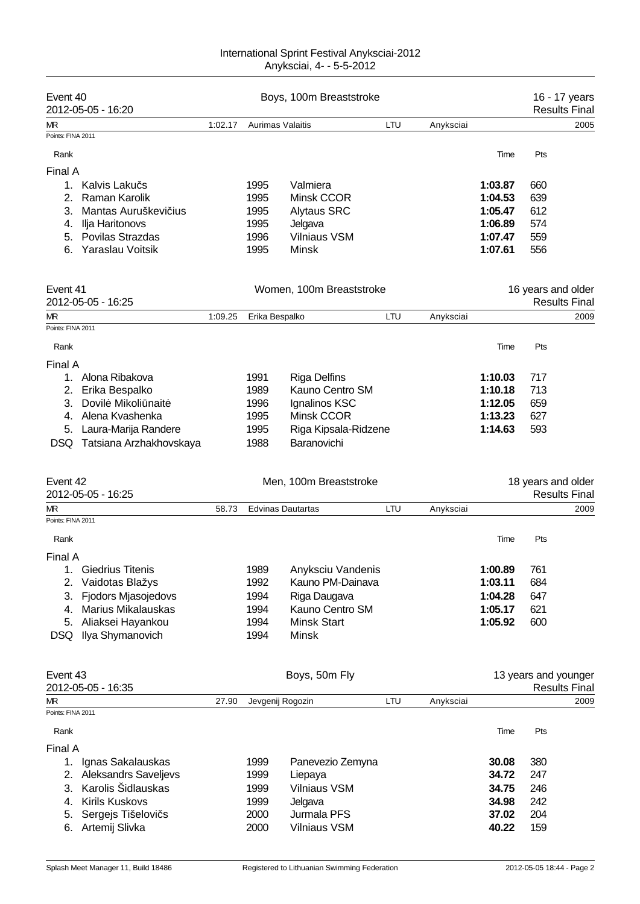| Event 40                |                                                  | Boys, 100m Breaststroke |                          |                                       |     |           | 16 - 17 years      |                                              |      |
|-------------------------|--------------------------------------------------|-------------------------|--------------------------|---------------------------------------|-----|-----------|--------------------|----------------------------------------------|------|
|                         | 2012-05-05 - 16:20                               |                         |                          |                                       |     |           |                    | <b>Results Fina</b>                          |      |
| МR<br>Points: FINA 2011 |                                                  | 1:02.17                 | <b>Aurimas Valaitis</b>  |                                       | LTU | Anyksciai |                    |                                              | 2005 |
|                         |                                                  |                         |                          |                                       |     |           |                    |                                              |      |
| Rank                    |                                                  |                         |                          |                                       |     |           | Time               | Pts                                          |      |
| Final A                 |                                                  |                         |                          |                                       |     |           |                    |                                              |      |
|                         | 1. Kalvis Laku s                                 |                         | 1995                     | Valmiera                              |     |           | 1:03.87            | 660                                          |      |
| 2.                      | Raman Karolik                                    |                         | 1995                     | Minsk CCOR                            |     |           | 1:04.53            | 639                                          |      |
| 3.                      | Mantas Auruškevi ius                             |                         | 1995                     | <b>Alytaus SRC</b>                    |     |           | 1:05.47            | 612                                          |      |
| 4.                      | Ilja Haritonovs                                  |                         | 1995                     | Jelgava                               |     |           | 1:06.89            | 574                                          |      |
| 5.                      | Povilas Strazdas                                 |                         | 1996                     | <b>Vilniaus VSM</b>                   |     |           | 1:07.47            | 559                                          |      |
| 6.                      | Yaraslau Voitsik                                 |                         | 1995                     | Minsk                                 |     |           | 1:07.61            | 556                                          |      |
|                         |                                                  |                         |                          |                                       |     |           |                    |                                              |      |
| Event 41                |                                                  |                         | Women, 100m Breaststroke |                                       |     |           | 16 years and older |                                              |      |
| МR                      | 2012-05-05 - 16:25                               | 1:09.25                 | Erika Bespalko           |                                       | LTU | Anyksciai |                    | <b>Results Fina</b>                          | 2009 |
| Points: FINA 2011       |                                                  |                         |                          |                                       |     |           |                    |                                              |      |
| Rank                    |                                                  |                         |                          |                                       |     |           | Time               | Pts                                          |      |
| Final A                 |                                                  |                         |                          |                                       |     |           |                    |                                              |      |
| 1.                      | Alona Ribakova                                   |                         | 1991                     | <b>Riga Delfins</b>                   |     |           | 1:10.03            | 717                                          |      |
| 2.                      | Erika Bespalko                                   |                         | 1989                     | Kauno Centro SM                       |     |           | 1:10.18            | 713                                          |      |
| 3.                      | Dovil Mikoli nait                                |                         | 1996                     | Ignalinos KSC                         |     |           | 1:12.05            | 659                                          |      |
| 4.                      | Alena Kvashenka                                  |                         | 1995                     | Minsk CCOR                            |     |           | 1:13.23            | 627                                          |      |
| 5.                      | Laura-Marija Randere                             |                         | 1995                     | Riga Kipsala-Ridzene                  |     |           | 1:14.63            | 593                                          |      |
| DSQ.                    | Tatsiana Arzhakhovskaya                          |                         | 1988                     | Baranovichi                           |     |           |                    |                                              |      |
|                         |                                                  |                         |                          |                                       |     |           |                    |                                              |      |
|                         |                                                  |                         |                          |                                       |     |           |                    |                                              |      |
| Event 42                |                                                  |                         |                          | Men, 100m Breaststroke                |     |           |                    | 18 years and older                           |      |
|                         | 2012-05-05 - 16:25                               |                         |                          |                                       |     |           |                    | <b>Results Final</b>                         |      |
| МR<br>Points: FINA 2011 |                                                  | 58.73                   |                          | <b>Edvinas Dautartas</b>              | LTU | Anyksciai |                    |                                              | 2009 |
| Rank                    |                                                  |                         |                          |                                       |     |           | Time               | Pts                                          |      |
| Final A                 |                                                  |                         |                          |                                       |     |           |                    |                                              |      |
| 1.                      |                                                  |                         |                          |                                       |     |           |                    |                                              |      |
| 2.                      | <b>Giedrius Titenis</b>                          |                         | 1989<br>1992             | Anyksciu Vandenis<br>Kauno PM-Dainava |     |           | 1:00.89<br>1:03.11 | 761<br>684                                   |      |
|                         | Vaidotas Blažys                                  |                         |                          |                                       |     |           |                    |                                              |      |
| 3.<br>4.                | <b>Fjodors Mjasojedovs</b><br>Marius Mikalauskas |                         | 1994                     | Riga Daugava                          |     |           | 1:04.28            | 647                                          |      |
|                         |                                                  |                         | 1994                     | Kauno Centro SM                       |     |           | 1:05.17            | 621                                          |      |
| 5.                      | Aliaksei Hayankou                                |                         | 1994                     | <b>Minsk Start</b>                    |     |           | 1:05.92            | 600                                          |      |
| <b>DSQ</b>              | Ilya Shymanovich                                 |                         | 1994                     | Minsk                                 |     |           |                    |                                              |      |
| Event 43                |                                                  |                         |                          |                                       |     |           |                    |                                              |      |
|                         | 2012-05-05 - 16:35                               |                         |                          | Boys, 50m Fly                         |     |           |                    | 13 years and younger<br><b>Results Final</b> |      |
| МR                      |                                                  | 27.90                   | Jevgenij Rogozin         |                                       | LTU | Anyksciai |                    |                                              | 2009 |
| Points: FINA 2011       |                                                  |                         |                          |                                       |     |           |                    |                                              |      |
| Rank                    |                                                  |                         |                          |                                       |     |           | Time               | Pts                                          |      |
| Final A                 |                                                  |                         |                          |                                       |     |           |                    |                                              |      |
| 1.                      | Ignas Sakalauskas                                |                         | 1999                     | Panevezio Zemyna                      |     |           | 30.08              | 380                                          |      |
| 2.                      | <b>Aleksandrs Saveljevs</b>                      |                         | 1999                     | Liepaya                               |     |           | 34.72              | 247                                          |      |
| 3.                      | Karolis Šidlauskas                               |                         | 1999                     | <b>Vilniaus VSM</b>                   |     |           | 34.75              | 246                                          |      |
| 4.                      | <b>Kirils Kuskovs</b>                            |                         | 1999                     | Jelgava                               |     |           | 34.98              | 242                                          |      |
| 5.                      | Sergejs Tišelovi s                               |                         | 2000                     | Jurmala PFS                           |     |           | 37.02              | 204                                          |      |
| 6.                      | Artemij Slivka                                   |                         | 2000                     | <b>Vilniaus VSM</b>                   |     |           | 40.22              | 159                                          |      |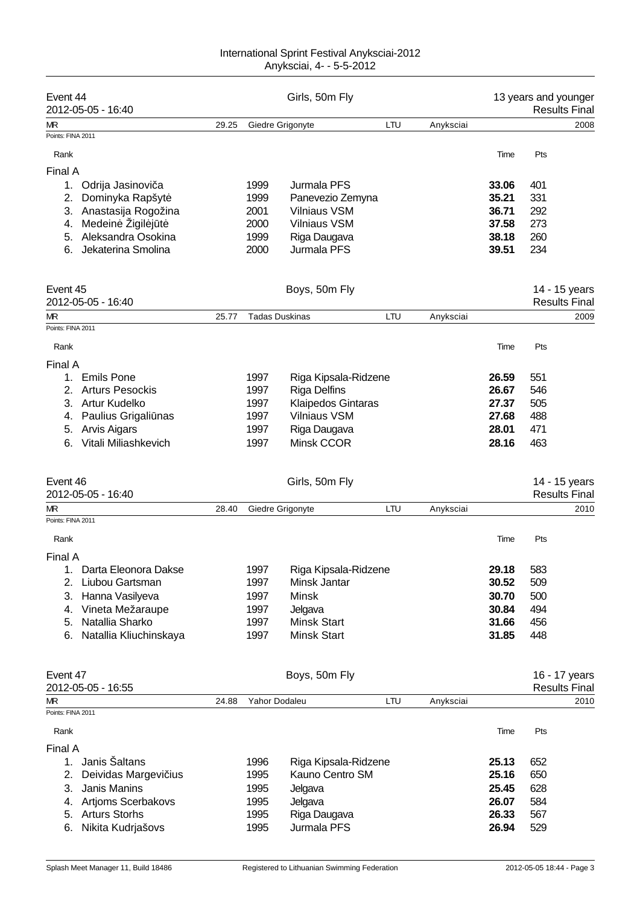| Event 44          | 2012-05-05 - 16:40     | Girls, 50m Fly |               |                       |     | 13 years and younger<br><b>Results Final</b> |       |     |                      |
|-------------------|------------------------|----------------|---------------|-----------------------|-----|----------------------------------------------|-------|-----|----------------------|
| МR                |                        | 29.25          |               | Giedre Grigonyte      | LTU | Anyksciai                                    |       |     | 2008                 |
| Points: FINA 2011 |                        |                |               |                       |     |                                              |       |     |                      |
| Rank              |                        |                |               |                       |     |                                              | Time  | Pts |                      |
| Final A           |                        |                |               |                       |     |                                              |       |     |                      |
| 1.                | Odrija Jasinovi a      |                | 1999          | Jurmala PFS           |     |                                              | 33.06 | 401 |                      |
| 2.                | Dominyka Rapšyt        |                | 1999          | Panevezio Zemyna      |     |                                              | 35.21 | 331 |                      |
|                   | 3. Anastasija Rogožina |                | 2001          | <b>Vilniaus VSM</b>   |     |                                              | 36.71 | 292 |                      |
| 4.                | Medein Žigil j t       |                | 2000          | <b>Vilniaus VSM</b>   |     |                                              | 37.58 | 273 |                      |
| 5.                | Aleksandra Osokina     |                | 1999          | Riga Daugava          |     |                                              | 38.18 | 260 |                      |
| 6.                | Jekaterina Smolina     |                | 2000          | Jurmala PFS           |     |                                              | 39.51 | 234 |                      |
|                   |                        |                |               |                       |     |                                              |       |     |                      |
| Event 45          |                        |                |               | Boys, 50m Fly         |     |                                              |       |     | 14 - 15 years        |
|                   | 2012-05-05 - 16:40     |                |               |                       |     |                                              |       |     | <b>Results Final</b> |
| МR                |                        | 25.77          |               | <b>Tadas Duskinas</b> | LTU | Anyksciai                                    |       |     | 2009                 |
| Points: FINA 2011 |                        |                |               |                       |     |                                              |       |     |                      |
| Rank              |                        |                |               |                       |     |                                              | Time  | Pts |                      |
| Final A           |                        |                |               |                       |     |                                              |       |     |                      |
| 1.                | <b>Emils Pone</b>      |                | 1997          | Riga Kipsala-Ridzene  |     |                                              | 26.59 | 551 |                      |
|                   | <b>Arturs Pesockis</b> |                | 1997          | <b>Riga Delfins</b>   |     |                                              | 26.67 | 546 |                      |
| 3.                | Artur Kudelko          |                | 1997          | Klaipedos Gintaras    |     |                                              | 27.37 | 505 |                      |
| 4.                | Paulius Grigali nas    |                | 1997          | <b>Vilniaus VSM</b>   |     |                                              | 27.68 | 488 |                      |
| 5.                | <b>Arvis Aigars</b>    |                | 1997          | Riga Daugava          |     |                                              | 28.01 | 471 |                      |
| 6.                | Vitali Miliashkevich   |                | 1997          | Minsk CCOR            |     |                                              | 28.16 | 463 |                      |
|                   |                        |                |               |                       |     |                                              |       |     |                      |
| Event 46          |                        |                |               | Girls, 50m Fly        |     |                                              |       |     | 14 - 15 years        |
|                   | 2012-05-05 - 16:40     |                |               |                       |     |                                              |       |     | <b>Results Final</b> |
| МR                |                        | 28.40          |               | Giedre Grigonyte      | LTU | Anyksciai                                    |       |     | 2010                 |
| Points: FINA 2011 |                        |                |               |                       |     |                                              |       |     |                      |
| Rank              |                        |                |               |                       |     |                                              | Time  | Pts |                      |
| Final A           |                        |                |               |                       |     |                                              |       |     |                      |
| 1.                | Darta Eleonora Dakse   |                | 1997          | Riga Kipsala-Ridzene  |     |                                              | 29.18 | 583 |                      |
| 2.                | Liubou Gartsman        |                | 1997          | Minsk Jantar          |     |                                              | 30.52 | 509 |                      |
| 3.                | Hanna Vasilyeva        |                | 1997          | <b>Minsk</b>          |     |                                              | 30.70 | 500 |                      |
| 4.                | Vineta Mežaraupe       |                | 1997          | Jelgava               |     |                                              | 30.84 | 494 |                      |
| 5.                | Natallia Sharko        |                | 1997          | <b>Minsk Start</b>    |     |                                              | 31.66 | 456 |                      |
| 6.                | Natallia Kliuchinskaya |                | 1997          | Minsk Start           |     |                                              | 31.85 | 448 |                      |
|                   |                        |                |               |                       |     |                                              |       |     |                      |
| Event 47          |                        |                |               | Boys, 50m Fly         |     |                                              |       |     | 16 - 17 years        |
|                   | 2012-05-05 - 16:55     |                |               |                       |     |                                              |       |     | <b>Results Final</b> |
| МR                |                        | 24.88          | Yahor Dodaleu |                       | LTU | Anyksciai                                    |       |     | 2010                 |
| Points: FINA 2011 |                        |                |               |                       |     |                                              |       |     |                      |
| Rank              |                        |                |               |                       |     |                                              | Time  | Pts |                      |
| Final A           |                        |                |               |                       |     |                                              |       |     |                      |
| 1.                | Janis Šaltans          |                | 1996          | Riga Kipsala-Ridzene  |     |                                              | 25.13 | 652 |                      |
| 2.                | Deividas Margevi ius   |                | 1995          | Kauno Centro SM       |     |                                              | 25.16 | 650 |                      |
| 3.                | Janis Manins           |                | 1995          | Jelgava               |     |                                              | 25.45 | 628 |                      |
| 4.                | Artjoms Scerbakovs     |                | 1995          | Jelgava               |     |                                              | 26.07 | 584 |                      |
| 5.                | <b>Arturs Storhs</b>   |                | 1995          | Riga Daugava          |     |                                              | 26.33 | 567 |                      |
| 6.                | Nikita Kudrjašovs      |                | 1995          | Jurmala PFS           |     |                                              | 26.94 | 529 |                      |
|                   |                        |                |               |                       |     |                                              |       |     |                      |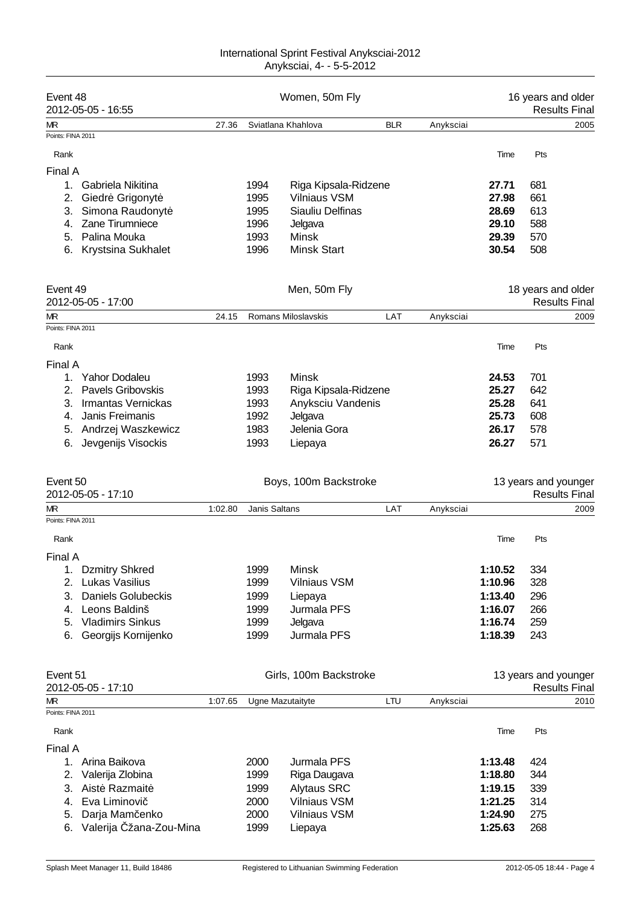| Event 48          | 2012-05-05 - 16:55        | Women, 50m Fly |               |                        |            |           | 16 years and older<br><b>Results Fina</b> |                      |                      |  |
|-------------------|---------------------------|----------------|---------------|------------------------|------------|-----------|-------------------------------------------|----------------------|----------------------|--|
| МR                |                           | 27.36          |               | Sviatlana Khahlova     | <b>BLR</b> | Anyksciai |                                           |                      | 2005                 |  |
| Points: FINA 2011 |                           |                |               |                        |            |           |                                           |                      |                      |  |
| Rank              |                           |                |               |                        |            |           | Time                                      | Pts                  |                      |  |
| Final A           |                           |                |               |                        |            |           |                                           |                      |                      |  |
| 1.                | Gabriela Nikitina         |                | 1994          | Riga Kipsala-Ridzene   |            |           | 27.71                                     | 681                  |                      |  |
| 2.                | Giedr Grigonyt            |                | 1995          | <b>Vilniaus VSM</b>    |            |           | 27.98                                     | 661                  |                      |  |
| 3.                | Simona Raudonyt           |                | 1995          | Siauliu Delfinas       |            |           | 28.69                                     | 613                  |                      |  |
| 4.                | Zane Tirumniece           |                | 1996          | Jelgava                |            |           | 29.10                                     | 588                  |                      |  |
| 5.                | Palina Mouka              |                | 1993          | <b>Minsk</b>           |            |           | 29.39                                     | 570                  |                      |  |
| 6.                | Krystsina Sukhalet        |                | 1996          | <b>Minsk Start</b>     |            |           | 30.54                                     | 508                  |                      |  |
|                   |                           |                |               |                        |            |           |                                           |                      |                      |  |
| Event 49          |                           |                |               | Men, 50m Fly           |            |           |                                           | 18 years and older   |                      |  |
|                   | 2012-05-05 - 17:00        |                |               |                        |            |           |                                           |                      | <b>Results Final</b> |  |
| МR                |                           | 24.15          |               | Romans Miloslavskis    | LAT        | Anyksciai |                                           |                      | 2009                 |  |
| Points: FINA 2011 |                           |                |               |                        |            |           |                                           |                      |                      |  |
| Rank              |                           |                |               |                        |            |           | Time                                      | Pts                  |                      |  |
| Final A           |                           |                |               |                        |            |           |                                           |                      |                      |  |
| 1.                | <b>Yahor Dodaleu</b>      |                | 1993          | <b>Minsk</b>           |            |           | 24.53                                     | 701                  |                      |  |
| 2.                | <b>Pavels Gribovskis</b>  |                | 1993          | Riga Kipsala-Ridzene   |            |           | 25.27                                     | 642                  |                      |  |
| 3.                | Irmantas Vernickas        |                | 1993          | Anyksciu Vandenis      |            |           | 25.28                                     | 641                  |                      |  |
| 4.                | Janis Freimanis           |                | 1992          | Jelgava                |            |           | 25.73                                     | 608                  |                      |  |
| 5.                | Andrzej Waszkewicz        |                | 1983          | Jelenia Gora           |            |           | 26.17                                     | 578                  |                      |  |
| 6.                | Jevgenijs Visockis        |                | 1993          | Liepaya                |            |           | 26.27                                     | 571                  |                      |  |
|                   |                           |                |               |                        |            |           |                                           |                      |                      |  |
| Event 50          | 2012-05-05 - 17:10        |                |               | Boys, 100m Backstroke  |            |           |                                           | 13 years and younger | <b>Results Final</b> |  |
| МR                |                           | 1:02.80        | Janis Saltans |                        | LAT        | Anyksciai |                                           |                      | 2009                 |  |
| Points: FINA 2011 |                           |                |               |                        |            |           |                                           |                      |                      |  |
| Rank              |                           |                |               |                        |            |           | Time                                      | Pts                  |                      |  |
| Final A           |                           |                |               |                        |            |           |                                           |                      |                      |  |
|                   | <b>Dzmitry Shkred</b>     |                | 1999          | Minsk                  |            |           | 1:10.52                                   | 334                  |                      |  |
| 2.                | Lukas Vasilius            |                | 1999          | Vilniaus VSM           |            |           | 1:10.96                                   | 328                  |                      |  |
|                   |                           |                |               |                        |            |           |                                           |                      |                      |  |
| 3.                | <b>Daniels Golubeckis</b> |                | 1999          | Liepaya                |            |           | 1:13.40                                   | 296                  |                      |  |
| 4.                | Leons Baldinš             |                | 1999          | Jurmala PFS            |            |           | 1:16.07                                   | 266                  |                      |  |
| 5.                | <b>Vladimirs Sinkus</b>   |                | 1999          | Jelgava                |            |           | 1:16.74                                   | 259                  |                      |  |
| 6.                | Georgijs Kornijenko       |                | 1999          | Jurmala PFS            |            |           | 1:18.39                                   | 243                  |                      |  |
| Event 51          |                           |                |               | Girls, 100m Backstroke |            |           |                                           | 13 years and younger |                      |  |
|                   | 2012-05-05 - 17:10        |                |               |                        |            |           |                                           |                      | <b>Results Final</b> |  |
| МR                |                           | 1:07.65        |               | Ugne Mazutaityte       | LTU        | Anyksciai |                                           |                      | 2010                 |  |
| Points: FINA 2011 |                           |                |               |                        |            |           |                                           |                      |                      |  |
| Rank              |                           |                |               |                        |            |           | Time                                      | Pts                  |                      |  |
| Final A           |                           |                |               |                        |            |           |                                           |                      |                      |  |
| 1.                | Arina Baikova             |                | 2000          | Jurmala PFS            |            |           | 1:13.48                                   | 424                  |                      |  |
| 2.                | Valerija Zlobina          |                | 1999          | Riga Daugava           |            |           | 1:18.80                                   | 344                  |                      |  |
| 3.                | Aist Razmait              |                |               | <b>Alytaus SRC</b>     |            |           |                                           | 339                  |                      |  |
|                   |                           |                | 1999          |                        |            |           | 1:19.15                                   |                      |                      |  |
| 4.                | Eva Liminovi              |                | 2000          | <b>Vilniaus VSM</b>    |            |           | 1:21.25                                   | 314                  |                      |  |
| 5.                | Darja Mam enko            |                | 2000          | <b>Vilniaus VSM</b>    |            |           | 1:24.90                                   | 275                  |                      |  |
| 6.                | Valerija žana-Zou-Mina    |                | 1999          | Liepaya                |            |           | 1:25.63                                   | 268                  |                      |  |
|                   |                           |                |               |                        |            |           |                                           |                      |                      |  |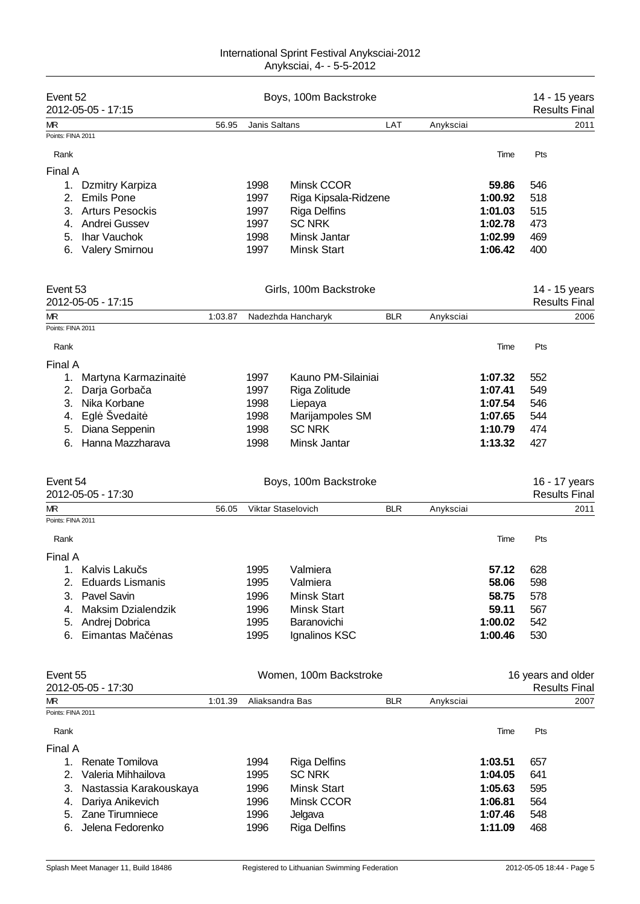| Event 52<br>Boys, 100m Backstroke<br>2012-05-05 - 17:15<br>LAT<br>56.95<br>Janis Saltans<br>Anyksciai<br>МR<br>Points: FINA 2011<br>Pts<br>Rank<br>Time<br>Final A<br>Minsk CCOR<br>1998<br>59.86<br>546<br>1.<br>Dzmitry Karpiza<br><b>Emils Pone</b><br>1997<br>1:00.92<br>518<br>2.<br>Riga Kipsala-Ridzene<br><b>Arturs Pesockis</b><br>1997<br>1:01.03<br>515<br>3.<br><b>Riga Delfins</b><br>Andrei Gussev<br>1997<br><b>SC NRK</b><br>1:02.78<br>473<br>4.<br>Ihar Vauchok<br>1998<br>Minsk Jantar<br>1:02.99<br>469<br>5.<br><b>Valery Smirnou</b><br>1997<br><b>Minsk Start</b><br>1:06.42<br>400<br>6.<br>Event 53<br>Girls, 100m Backstroke<br>1:03.87<br>Nadezhda Hancharyk<br><b>BLR</b><br>Anyksciai<br>Rank<br>Time<br>Pts<br>1997<br>Kauno PM-Silainiai<br>552<br>Martyna Karmazinait<br>1:07.32<br>1.<br>Darja Gorba a<br>1997<br>Riga Zolitude<br>1:07.41<br>549<br>2.<br>Nika Korbane<br>546<br>1998<br>1:07.54<br>3.<br>Liepaya<br>Egl Švedait<br>1998<br>Marijampoles SM<br>1:07.65<br>544<br>4.<br>Diana Seppenin<br>1998<br><b>SC NRK</b><br>1:10.79<br>474<br>5.<br>Hanna Mazzharava<br>1998<br>Minsk Jantar<br>1:13.32<br>427<br>6.<br>Boys, 100m Backstroke<br><b>BLR</b><br>56.05<br>Viktar Staselovich<br>Anyksciai<br>Time<br>Pts<br>Rank<br>Kalvis Laku s<br>1995<br>57.12<br>628<br>Valmiera<br><b>Eduards Lismanis</b><br>1995<br>Valmiera<br>58.06<br>598<br>2.<br>Pavel Savin<br><b>Minsk Start</b><br>578<br>3.<br>1996<br>58.75<br><b>Minsk Start</b><br>59.11<br>567<br>Maksim Dzialendzik<br>1996<br>4.<br>1:00.02<br>542<br>Andrej Dobrica<br>1995<br>Baranovichi<br>5.<br>530<br>Eimantas Ma<br>1995<br>Ignalinos KSC<br>1:00.46<br>6.<br>nas<br>16 years and older<br>Women, 100m Backstroke<br><b>Results Final</b><br>1:01.39<br>Aliaksandra Bas<br>BLR<br>Anyksciai<br>Time<br>Pts<br>Rank<br>Renate Tomilova<br><b>Riga Delfins</b><br>1:03.51<br>1.<br>1994<br>657<br>2.<br>Valeria Mihhailova<br><b>SC NRK</b><br>1:04.05<br>641<br>1995<br>1996<br><b>Minsk Start</b><br>1:05.63<br>595<br>3.<br>Nastassia Karakouskaya<br>Minsk CCOR<br>564<br>Dariya Anikevich<br>1996<br>1:06.81<br>4.<br>Zane Tirumniece<br>1996<br>1:07.46<br>548<br>5.<br>Jelgava<br>Jelena Fedorenko<br><b>Riga Delfins</b><br>1:11.09<br>468<br>6.<br>1996 |  |  |  |  |  |  |                                       |
|------------------------------------------------------------------------------------------------------------------------------------------------------------------------------------------------------------------------------------------------------------------------------------------------------------------------------------------------------------------------------------------------------------------------------------------------------------------------------------------------------------------------------------------------------------------------------------------------------------------------------------------------------------------------------------------------------------------------------------------------------------------------------------------------------------------------------------------------------------------------------------------------------------------------------------------------------------------------------------------------------------------------------------------------------------------------------------------------------------------------------------------------------------------------------------------------------------------------------------------------------------------------------------------------------------------------------------------------------------------------------------------------------------------------------------------------------------------------------------------------------------------------------------------------------------------------------------------------------------------------------------------------------------------------------------------------------------------------------------------------------------------------------------------------------------------------------------------------------------------------------------------------------------------------------------------------------------------------------------------------------------------------------------------------------------------------------------------------------------------------------------------------------------------------------------------------------------------------------------------------------------------------------------|--|--|--|--|--|--|---------------------------------------|
|                                                                                                                                                                                                                                                                                                                                                                                                                                                                                                                                                                                                                                                                                                                                                                                                                                                                                                                                                                                                                                                                                                                                                                                                                                                                                                                                                                                                                                                                                                                                                                                                                                                                                                                                                                                                                                                                                                                                                                                                                                                                                                                                                                                                                                                                                    |  |  |  |  |  |  | 14 - 15 years<br><b>Results Final</b> |
|                                                                                                                                                                                                                                                                                                                                                                                                                                                                                                                                                                                                                                                                                                                                                                                                                                                                                                                                                                                                                                                                                                                                                                                                                                                                                                                                                                                                                                                                                                                                                                                                                                                                                                                                                                                                                                                                                                                                                                                                                                                                                                                                                                                                                                                                                    |  |  |  |  |  |  | 2011                                  |
|                                                                                                                                                                                                                                                                                                                                                                                                                                                                                                                                                                                                                                                                                                                                                                                                                                                                                                                                                                                                                                                                                                                                                                                                                                                                                                                                                                                                                                                                                                                                                                                                                                                                                                                                                                                                                                                                                                                                                                                                                                                                                                                                                                                                                                                                                    |  |  |  |  |  |  |                                       |
|                                                                                                                                                                                                                                                                                                                                                                                                                                                                                                                                                                                                                                                                                                                                                                                                                                                                                                                                                                                                                                                                                                                                                                                                                                                                                                                                                                                                                                                                                                                                                                                                                                                                                                                                                                                                                                                                                                                                                                                                                                                                                                                                                                                                                                                                                    |  |  |  |  |  |  |                                       |
|                                                                                                                                                                                                                                                                                                                                                                                                                                                                                                                                                                                                                                                                                                                                                                                                                                                                                                                                                                                                                                                                                                                                                                                                                                                                                                                                                                                                                                                                                                                                                                                                                                                                                                                                                                                                                                                                                                                                                                                                                                                                                                                                                                                                                                                                                    |  |  |  |  |  |  |                                       |
|                                                                                                                                                                                                                                                                                                                                                                                                                                                                                                                                                                                                                                                                                                                                                                                                                                                                                                                                                                                                                                                                                                                                                                                                                                                                                                                                                                                                                                                                                                                                                                                                                                                                                                                                                                                                                                                                                                                                                                                                                                                                                                                                                                                                                                                                                    |  |  |  |  |  |  |                                       |
|                                                                                                                                                                                                                                                                                                                                                                                                                                                                                                                                                                                                                                                                                                                                                                                                                                                                                                                                                                                                                                                                                                                                                                                                                                                                                                                                                                                                                                                                                                                                                                                                                                                                                                                                                                                                                                                                                                                                                                                                                                                                                                                                                                                                                                                                                    |  |  |  |  |  |  |                                       |
|                                                                                                                                                                                                                                                                                                                                                                                                                                                                                                                                                                                                                                                                                                                                                                                                                                                                                                                                                                                                                                                                                                                                                                                                                                                                                                                                                                                                                                                                                                                                                                                                                                                                                                                                                                                                                                                                                                                                                                                                                                                                                                                                                                                                                                                                                    |  |  |  |  |  |  |                                       |
|                                                                                                                                                                                                                                                                                                                                                                                                                                                                                                                                                                                                                                                                                                                                                                                                                                                                                                                                                                                                                                                                                                                                                                                                                                                                                                                                                                                                                                                                                                                                                                                                                                                                                                                                                                                                                                                                                                                                                                                                                                                                                                                                                                                                                                                                                    |  |  |  |  |  |  |                                       |
|                                                                                                                                                                                                                                                                                                                                                                                                                                                                                                                                                                                                                                                                                                                                                                                                                                                                                                                                                                                                                                                                                                                                                                                                                                                                                                                                                                                                                                                                                                                                                                                                                                                                                                                                                                                                                                                                                                                                                                                                                                                                                                                                                                                                                                                                                    |  |  |  |  |  |  |                                       |
|                                                                                                                                                                                                                                                                                                                                                                                                                                                                                                                                                                                                                                                                                                                                                                                                                                                                                                                                                                                                                                                                                                                                                                                                                                                                                                                                                                                                                                                                                                                                                                                                                                                                                                                                                                                                                                                                                                                                                                                                                                                                                                                                                                                                                                                                                    |  |  |  |  |  |  |                                       |
| 2012-05-05 - 17:15<br>МR<br>Points: FINA 2011<br>Final A<br>Event 54<br>2012-05-05 - 17:30<br>МR<br>Points: FINA 2011<br>Final A<br>Event 55<br>2012-05-05 - 17:30<br>МR<br>Points: FINA 2011<br>Final A                                                                                                                                                                                                                                                                                                                                                                                                                                                                                                                                                                                                                                                                                                                                                                                                                                                                                                                                                                                                                                                                                                                                                                                                                                                                                                                                                                                                                                                                                                                                                                                                                                                                                                                                                                                                                                                                                                                                                                                                                                                                           |  |  |  |  |  |  | 14 - 15 years                         |
|                                                                                                                                                                                                                                                                                                                                                                                                                                                                                                                                                                                                                                                                                                                                                                                                                                                                                                                                                                                                                                                                                                                                                                                                                                                                                                                                                                                                                                                                                                                                                                                                                                                                                                                                                                                                                                                                                                                                                                                                                                                                                                                                                                                                                                                                                    |  |  |  |  |  |  | <b>Results Final</b>                  |
|                                                                                                                                                                                                                                                                                                                                                                                                                                                                                                                                                                                                                                                                                                                                                                                                                                                                                                                                                                                                                                                                                                                                                                                                                                                                                                                                                                                                                                                                                                                                                                                                                                                                                                                                                                                                                                                                                                                                                                                                                                                                                                                                                                                                                                                                                    |  |  |  |  |  |  | 2006                                  |
|                                                                                                                                                                                                                                                                                                                                                                                                                                                                                                                                                                                                                                                                                                                                                                                                                                                                                                                                                                                                                                                                                                                                                                                                                                                                                                                                                                                                                                                                                                                                                                                                                                                                                                                                                                                                                                                                                                                                                                                                                                                                                                                                                                                                                                                                                    |  |  |  |  |  |  |                                       |
|                                                                                                                                                                                                                                                                                                                                                                                                                                                                                                                                                                                                                                                                                                                                                                                                                                                                                                                                                                                                                                                                                                                                                                                                                                                                                                                                                                                                                                                                                                                                                                                                                                                                                                                                                                                                                                                                                                                                                                                                                                                                                                                                                                                                                                                                                    |  |  |  |  |  |  |                                       |
|                                                                                                                                                                                                                                                                                                                                                                                                                                                                                                                                                                                                                                                                                                                                                                                                                                                                                                                                                                                                                                                                                                                                                                                                                                                                                                                                                                                                                                                                                                                                                                                                                                                                                                                                                                                                                                                                                                                                                                                                                                                                                                                                                                                                                                                                                    |  |  |  |  |  |  |                                       |
|                                                                                                                                                                                                                                                                                                                                                                                                                                                                                                                                                                                                                                                                                                                                                                                                                                                                                                                                                                                                                                                                                                                                                                                                                                                                                                                                                                                                                                                                                                                                                                                                                                                                                                                                                                                                                                                                                                                                                                                                                                                                                                                                                                                                                                                                                    |  |  |  |  |  |  |                                       |
|                                                                                                                                                                                                                                                                                                                                                                                                                                                                                                                                                                                                                                                                                                                                                                                                                                                                                                                                                                                                                                                                                                                                                                                                                                                                                                                                                                                                                                                                                                                                                                                                                                                                                                                                                                                                                                                                                                                                                                                                                                                                                                                                                                                                                                                                                    |  |  |  |  |  |  |                                       |
|                                                                                                                                                                                                                                                                                                                                                                                                                                                                                                                                                                                                                                                                                                                                                                                                                                                                                                                                                                                                                                                                                                                                                                                                                                                                                                                                                                                                                                                                                                                                                                                                                                                                                                                                                                                                                                                                                                                                                                                                                                                                                                                                                                                                                                                                                    |  |  |  |  |  |  |                                       |
|                                                                                                                                                                                                                                                                                                                                                                                                                                                                                                                                                                                                                                                                                                                                                                                                                                                                                                                                                                                                                                                                                                                                                                                                                                                                                                                                                                                                                                                                                                                                                                                                                                                                                                                                                                                                                                                                                                                                                                                                                                                                                                                                                                                                                                                                                    |  |  |  |  |  |  |                                       |
|                                                                                                                                                                                                                                                                                                                                                                                                                                                                                                                                                                                                                                                                                                                                                                                                                                                                                                                                                                                                                                                                                                                                                                                                                                                                                                                                                                                                                                                                                                                                                                                                                                                                                                                                                                                                                                                                                                                                                                                                                                                                                                                                                                                                                                                                                    |  |  |  |  |  |  |                                       |
|                                                                                                                                                                                                                                                                                                                                                                                                                                                                                                                                                                                                                                                                                                                                                                                                                                                                                                                                                                                                                                                                                                                                                                                                                                                                                                                                                                                                                                                                                                                                                                                                                                                                                                                                                                                                                                                                                                                                                                                                                                                                                                                                                                                                                                                                                    |  |  |  |  |  |  |                                       |
|                                                                                                                                                                                                                                                                                                                                                                                                                                                                                                                                                                                                                                                                                                                                                                                                                                                                                                                                                                                                                                                                                                                                                                                                                                                                                                                                                                                                                                                                                                                                                                                                                                                                                                                                                                                                                                                                                                                                                                                                                                                                                                                                                                                                                                                                                    |  |  |  |  |  |  | 16 - 17 years<br><b>Results Final</b> |
|                                                                                                                                                                                                                                                                                                                                                                                                                                                                                                                                                                                                                                                                                                                                                                                                                                                                                                                                                                                                                                                                                                                                                                                                                                                                                                                                                                                                                                                                                                                                                                                                                                                                                                                                                                                                                                                                                                                                                                                                                                                                                                                                                                                                                                                                                    |  |  |  |  |  |  | 2011                                  |
|                                                                                                                                                                                                                                                                                                                                                                                                                                                                                                                                                                                                                                                                                                                                                                                                                                                                                                                                                                                                                                                                                                                                                                                                                                                                                                                                                                                                                                                                                                                                                                                                                                                                                                                                                                                                                                                                                                                                                                                                                                                                                                                                                                                                                                                                                    |  |  |  |  |  |  |                                       |
|                                                                                                                                                                                                                                                                                                                                                                                                                                                                                                                                                                                                                                                                                                                                                                                                                                                                                                                                                                                                                                                                                                                                                                                                                                                                                                                                                                                                                                                                                                                                                                                                                                                                                                                                                                                                                                                                                                                                                                                                                                                                                                                                                                                                                                                                                    |  |  |  |  |  |  |                                       |
|                                                                                                                                                                                                                                                                                                                                                                                                                                                                                                                                                                                                                                                                                                                                                                                                                                                                                                                                                                                                                                                                                                                                                                                                                                                                                                                                                                                                                                                                                                                                                                                                                                                                                                                                                                                                                                                                                                                                                                                                                                                                                                                                                                                                                                                                                    |  |  |  |  |  |  |                                       |
|                                                                                                                                                                                                                                                                                                                                                                                                                                                                                                                                                                                                                                                                                                                                                                                                                                                                                                                                                                                                                                                                                                                                                                                                                                                                                                                                                                                                                                                                                                                                                                                                                                                                                                                                                                                                                                                                                                                                                                                                                                                                                                                                                                                                                                                                                    |  |  |  |  |  |  |                                       |
|                                                                                                                                                                                                                                                                                                                                                                                                                                                                                                                                                                                                                                                                                                                                                                                                                                                                                                                                                                                                                                                                                                                                                                                                                                                                                                                                                                                                                                                                                                                                                                                                                                                                                                                                                                                                                                                                                                                                                                                                                                                                                                                                                                                                                                                                                    |  |  |  |  |  |  |                                       |
|                                                                                                                                                                                                                                                                                                                                                                                                                                                                                                                                                                                                                                                                                                                                                                                                                                                                                                                                                                                                                                                                                                                                                                                                                                                                                                                                                                                                                                                                                                                                                                                                                                                                                                                                                                                                                                                                                                                                                                                                                                                                                                                                                                                                                                                                                    |  |  |  |  |  |  |                                       |
|                                                                                                                                                                                                                                                                                                                                                                                                                                                                                                                                                                                                                                                                                                                                                                                                                                                                                                                                                                                                                                                                                                                                                                                                                                                                                                                                                                                                                                                                                                                                                                                                                                                                                                                                                                                                                                                                                                                                                                                                                                                                                                                                                                                                                                                                                    |  |  |  |  |  |  |                                       |
|                                                                                                                                                                                                                                                                                                                                                                                                                                                                                                                                                                                                                                                                                                                                                                                                                                                                                                                                                                                                                                                                                                                                                                                                                                                                                                                                                                                                                                                                                                                                                                                                                                                                                                                                                                                                                                                                                                                                                                                                                                                                                                                                                                                                                                                                                    |  |  |  |  |  |  |                                       |
|                                                                                                                                                                                                                                                                                                                                                                                                                                                                                                                                                                                                                                                                                                                                                                                                                                                                                                                                                                                                                                                                                                                                                                                                                                                                                                                                                                                                                                                                                                                                                                                                                                                                                                                                                                                                                                                                                                                                                                                                                                                                                                                                                                                                                                                                                    |  |  |  |  |  |  |                                       |
|                                                                                                                                                                                                                                                                                                                                                                                                                                                                                                                                                                                                                                                                                                                                                                                                                                                                                                                                                                                                                                                                                                                                                                                                                                                                                                                                                                                                                                                                                                                                                                                                                                                                                                                                                                                                                                                                                                                                                                                                                                                                                                                                                                                                                                                                                    |  |  |  |  |  |  |                                       |
|                                                                                                                                                                                                                                                                                                                                                                                                                                                                                                                                                                                                                                                                                                                                                                                                                                                                                                                                                                                                                                                                                                                                                                                                                                                                                                                                                                                                                                                                                                                                                                                                                                                                                                                                                                                                                                                                                                                                                                                                                                                                                                                                                                                                                                                                                    |  |  |  |  |  |  |                                       |
|                                                                                                                                                                                                                                                                                                                                                                                                                                                                                                                                                                                                                                                                                                                                                                                                                                                                                                                                                                                                                                                                                                                                                                                                                                                                                                                                                                                                                                                                                                                                                                                                                                                                                                                                                                                                                                                                                                                                                                                                                                                                                                                                                                                                                                                                                    |  |  |  |  |  |  |                                       |
|                                                                                                                                                                                                                                                                                                                                                                                                                                                                                                                                                                                                                                                                                                                                                                                                                                                                                                                                                                                                                                                                                                                                                                                                                                                                                                                                                                                                                                                                                                                                                                                                                                                                                                                                                                                                                                                                                                                                                                                                                                                                                                                                                                                                                                                                                    |  |  |  |  |  |  | 2007                                  |
|                                                                                                                                                                                                                                                                                                                                                                                                                                                                                                                                                                                                                                                                                                                                                                                                                                                                                                                                                                                                                                                                                                                                                                                                                                                                                                                                                                                                                                                                                                                                                                                                                                                                                                                                                                                                                                                                                                                                                                                                                                                                                                                                                                                                                                                                                    |  |  |  |  |  |  |                                       |
|                                                                                                                                                                                                                                                                                                                                                                                                                                                                                                                                                                                                                                                                                                                                                                                                                                                                                                                                                                                                                                                                                                                                                                                                                                                                                                                                                                                                                                                                                                                                                                                                                                                                                                                                                                                                                                                                                                                                                                                                                                                                                                                                                                                                                                                                                    |  |  |  |  |  |  |                                       |
|                                                                                                                                                                                                                                                                                                                                                                                                                                                                                                                                                                                                                                                                                                                                                                                                                                                                                                                                                                                                                                                                                                                                                                                                                                                                                                                                                                                                                                                                                                                                                                                                                                                                                                                                                                                                                                                                                                                                                                                                                                                                                                                                                                                                                                                                                    |  |  |  |  |  |  |                                       |
|                                                                                                                                                                                                                                                                                                                                                                                                                                                                                                                                                                                                                                                                                                                                                                                                                                                                                                                                                                                                                                                                                                                                                                                                                                                                                                                                                                                                                                                                                                                                                                                                                                                                                                                                                                                                                                                                                                                                                                                                                                                                                                                                                                                                                                                                                    |  |  |  |  |  |  |                                       |
|                                                                                                                                                                                                                                                                                                                                                                                                                                                                                                                                                                                                                                                                                                                                                                                                                                                                                                                                                                                                                                                                                                                                                                                                                                                                                                                                                                                                                                                                                                                                                                                                                                                                                                                                                                                                                                                                                                                                                                                                                                                                                                                                                                                                                                                                                    |  |  |  |  |  |  |                                       |
|                                                                                                                                                                                                                                                                                                                                                                                                                                                                                                                                                                                                                                                                                                                                                                                                                                                                                                                                                                                                                                                                                                                                                                                                                                                                                                                                                                                                                                                                                                                                                                                                                                                                                                                                                                                                                                                                                                                                                                                                                                                                                                                                                                                                                                                                                    |  |  |  |  |  |  |                                       |
|                                                                                                                                                                                                                                                                                                                                                                                                                                                                                                                                                                                                                                                                                                                                                                                                                                                                                                                                                                                                                                                                                                                                                                                                                                                                                                                                                                                                                                                                                                                                                                                                                                                                                                                                                                                                                                                                                                                                                                                                                                                                                                                                                                                                                                                                                    |  |  |  |  |  |  |                                       |
|                                                                                                                                                                                                                                                                                                                                                                                                                                                                                                                                                                                                                                                                                                                                                                                                                                                                                                                                                                                                                                                                                                                                                                                                                                                                                                                                                                                                                                                                                                                                                                                                                                                                                                                                                                                                                                                                                                                                                                                                                                                                                                                                                                                                                                                                                    |  |  |  |  |  |  |                                       |
|                                                                                                                                                                                                                                                                                                                                                                                                                                                                                                                                                                                                                                                                                                                                                                                                                                                                                                                                                                                                                                                                                                                                                                                                                                                                                                                                                                                                                                                                                                                                                                                                                                                                                                                                                                                                                                                                                                                                                                                                                                                                                                                                                                                                                                                                                    |  |  |  |  |  |  |                                       |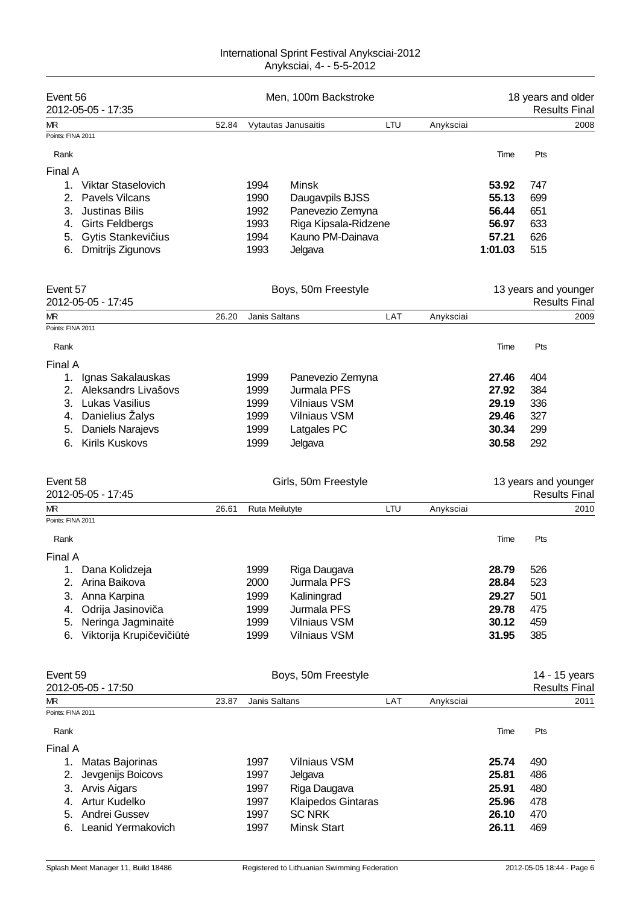| Event 56<br>2012-05-05 - 17:35    |       | Men, 100m Backstroke |                      |     |           |         | 18 years and older   | <b>Results Final</b> |
|-----------------------------------|-------|----------------------|----------------------|-----|-----------|---------|----------------------|----------------------|
| МR                                | 52.84 |                      | Vytautas Janusaitis  | LTU | Anyksciai |         |                      | 2008                 |
| Points: FINA 2011                 |       |                      |                      |     |           |         |                      |                      |
| Rank                              |       |                      |                      |     |           | Time    | Pts                  |                      |
| Final A                           |       |                      |                      |     |           |         |                      |                      |
| Viktar Staselovich<br>$1_{\cdot}$ |       | 1994                 | Minsk                |     |           | 53.92   | 747                  |                      |
| <b>Pavels Vilcans</b><br>2.       |       | 1990                 | Daugavpils BJSS      |     |           | 55.13   | 699                  |                      |
| <b>Justinas Bilis</b><br>3.       |       | 1992                 | Panevezio Zemyna     |     |           | 56.44   | 651                  |                      |
| 4. Girts Feldbergs                |       | 1993                 | Riga Kipsala-Ridzene |     |           | 56.97   | 633                  |                      |
| 5. Gytis Stankevi ius             |       | 1994                 | Kauno PM-Dainava     |     |           | 57.21   | 626                  |                      |
| Dmitrijs Zigunovs<br>6.           |       | 1993                 | Jelgava              |     |           | 1:01.03 | 515                  |                      |
|                                   |       |                      |                      |     |           |         |                      |                      |
| Event 57                          |       |                      | Boys, 50m Freestyle  |     |           |         | 13 years and younger |                      |
| 2012-05-05 - 17:45                |       |                      |                      |     |           |         |                      | <b>Results Final</b> |
| МR                                | 26.20 | Janis Saltans        |                      | LAT | Anyksciai |         |                      | 2009                 |
| Points: FINA 2011                 |       |                      |                      |     |           |         |                      |                      |
| Rank                              |       |                      |                      |     |           | Time    | Pts                  |                      |
| Final A                           |       |                      |                      |     |           |         |                      |                      |
| Ignas Sakalauskas<br>1.           |       | 1999                 | Panevezio Zemyna     |     |           | 27.46   | 404                  |                      |
| 2. Aleksandrs Livašovs            |       | 1999                 | Jurmala PFS          |     |           | 27.92   | 384                  |                      |
| 3. Lukas Vasilius                 |       | 1999                 | <b>Vilniaus VSM</b>  |     |           | 29.19   | 336                  |                      |
| Danielius Žalys<br>4.             |       | 1999                 | <b>Vilniaus VSM</b>  |     |           | 29.46   | 327                  |                      |
| <b>Daniels Narajevs</b><br>5.     |       | 1999                 | Latgales PC          |     |           | 30.34   | 299                  |                      |
| <b>Kirils Kuskovs</b><br>6.       |       | 1999                 | Jelgava              |     |           | 30.58   | 292                  |                      |
| Event 58                          |       |                      | Girls, 50m Freestyle |     |           |         | 13 years and younger |                      |
| 2012-05-05 - 17:45                |       |                      |                      |     |           |         |                      | <b>Results Final</b> |
| МR                                | 26.61 | Ruta Meilutyte       |                      | LTU | Anyksciai |         |                      | 2010                 |
| Points: FINA 2011                 |       |                      |                      |     |           |         |                      |                      |
| Rank                              |       |                      |                      |     |           | Time    | Pts                  |                      |
| Final A                           |       |                      |                      |     |           |         |                      |                      |
| Dana Kolidzeja<br>1.              |       | 1999                 | Riga Daugava         |     |           | 28.79   | 526                  |                      |
| Arina Baikova<br>2.               |       | 2000                 | Jurmala PFS          |     |           | 28.84   | 523                  |                      |
| 3.<br>Anna Karpina                |       | 1999                 | Kaliningrad          |     |           | 29.27   | 501                  |                      |
| Odrija Jasinovi a<br>4.           |       | 1999                 | Jurmala PFS          |     |           | 29.78   | 475                  |                      |
| Neringa Jagminait<br>5.           |       | 1999                 | <b>Vilniaus VSM</b>  |     |           | 30.12   | 459                  |                      |
| Viktorija Krupi evi i t<br>6.     |       | 1999                 | Vilniaus VSM         |     |           | 31.95   | 385                  |                      |
| Event 59                          |       |                      | Boys, 50m Freestyle  |     |           |         |                      | 14 - 15 years        |
| 2012-05-05 - 17:50                |       |                      |                      |     |           |         |                      | <b>Results Final</b> |
| МR                                | 23.87 | Janis Saltans        |                      | LAT | Anyksciai |         |                      | 2011                 |
| Points: FINA 2011                 |       |                      |                      |     |           |         |                      |                      |
| Rank                              |       |                      |                      |     |           | Time    | Pts                  |                      |
| Final A                           |       |                      |                      |     |           |         |                      |                      |
| Matas Bajorinas<br>1.             |       | 1997                 | <b>Vilniaus VSM</b>  |     |           | 25.74   | 490                  |                      |
| 2.<br>Jevgenijs Boicovs           |       | 1997                 | Jelgava              |     |           | 25.81   | 486                  |                      |
| 3. Arvis Aigars                   |       | 1997                 | Riga Daugava         |     |           | 25.91   | 480                  |                      |
| Artur Kudelko<br>4.               |       | 1997                 | Klaipedos Gintaras   |     |           | 25.96   | 478                  |                      |
| Andrei Gussev<br>5.               |       | 1997                 | <b>SC NRK</b>        |     |           | 26.10   | 470                  |                      |
| Leanid Yermakovich<br>6.          |       | 1997                 | <b>Minsk Start</b>   |     |           | 26.11   | 469                  |                      |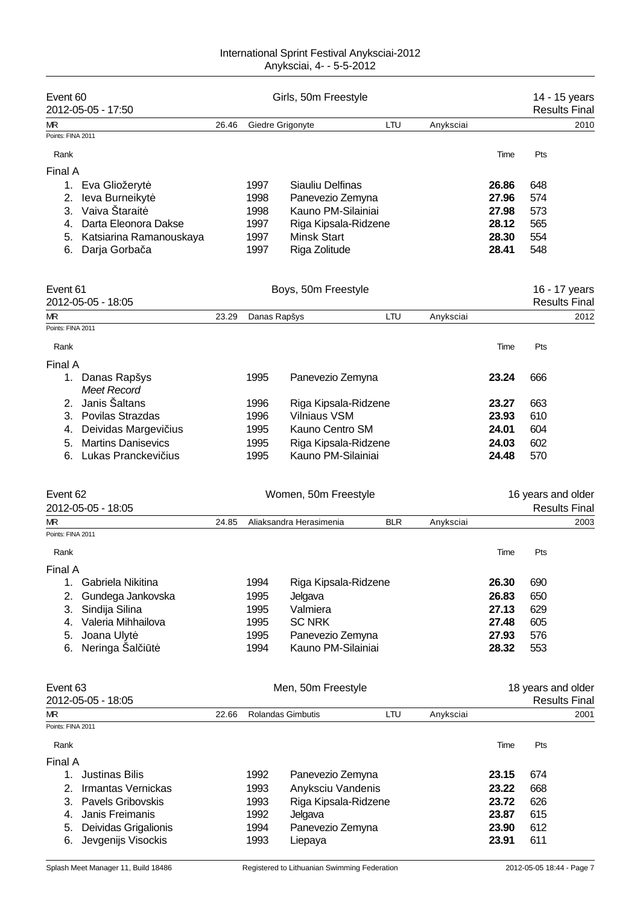| Event 60<br>2012-05-05 - 17:50             | Girls, 50m Freestyle |              |                          |            |           |                | 14 - 15 years<br><b>Results Final</b> |                      |
|--------------------------------------------|----------------------|--------------|--------------------------|------------|-----------|----------------|---------------------------------------|----------------------|
| МR                                         | 26.46                |              | Giedre Grigonyte         | LTU        | Anyksciai |                |                                       | 2010                 |
| Points: FINA 2011                          |                      |              |                          |            |           |                |                                       |                      |
| Rank                                       |                      |              |                          |            |           | Time           | Pts                                   |                      |
| Final A                                    |                      |              |                          |            |           |                |                                       |                      |
| 1.<br>Eva Gliožeryt                        |                      | 1997         | Siauliu Delfinas         |            |           | 26.86          | 648                                   |                      |
| leva Burneikyt<br>2.                       |                      | 1998         | Panevezio Zemyna         |            |           | 27.96          | 574                                   |                      |
| Vaiva Štarait<br>3.                        |                      | 1998         | Kauno PM-Silainiai       |            |           | 27.98          | 573                                   |                      |
| Darta Eleonora Dakse<br>4.                 |                      | 1997         | Riga Kipsala-Ridzene     |            |           | 28.12          | 565                                   |                      |
| Katsiarina Ramanouskaya<br>5.              |                      | 1997         | Minsk Start              |            |           | 28.30          | 554                                   |                      |
| Darja Gorba a<br>6.                        |                      | 1997         | Riga Zolitude            |            |           | 28.41          | 548                                   |                      |
|                                            |                      |              |                          |            |           |                |                                       |                      |
| Event 61                                   |                      |              | Boys, 50m Freestyle      |            |           |                |                                       | 16 - 17 years        |
| 2012-05-05 - 18:05                         |                      |              |                          |            |           |                |                                       | <b>Results Final</b> |
| МR                                         | 23.29                | Danas Rapšys |                          | LTU        | Anyksciai |                |                                       | 2012                 |
| Points: FINA 2011                          |                      |              |                          |            |           |                |                                       |                      |
| Rank                                       |                      |              |                          |            |           | Time           | Pts                                   |                      |
|                                            |                      |              |                          |            |           |                |                                       |                      |
| Final A                                    |                      |              |                          |            |           |                |                                       |                      |
| Danas Rapšys<br>1.                         |                      | 1995         | Panevezio Zemyna         |            |           | 23.24          | 666                                   |                      |
| <b>Meet Record</b>                         |                      |              |                          |            |           |                |                                       |                      |
| Janis Šaltans<br>2.                        |                      | 1996         | Riga Kipsala-Ridzene     |            |           | 23.27          | 663                                   |                      |
| Povilas Strazdas<br>З.                     |                      | 1996         | <b>Vilniaus VSM</b>      |            |           | 23.93          | 610                                   |                      |
| Deividas Margevi ius<br>4.                 |                      | 1995         | Kauno Centro SM          |            |           | 24.01          | 604                                   |                      |
| <b>Martins Danisevics</b><br>5.            |                      | 1995         | Riga Kipsala-Ridzene     |            |           | 24.03          | 602                                   |                      |
| Lukas Pranckevi ius<br>6.                  |                      | 1995         | Kauno PM-Silainiai       |            |           | 24.48          | 570                                   |                      |
| Event 62                                   |                      |              | Women, 50m Freestyle     |            |           |                | 16 years and older                    |                      |
| 2012-05-05 - 18:05                         |                      |              |                          |            |           |                |                                       | <b>Results Final</b> |
| МR                                         | 24.85                |              | Aliaksandra Herasimenia  | <b>BLR</b> | Anyksciai |                |                                       | 2003                 |
| Points: FINA 2011                          |                      |              |                          |            |           |                |                                       |                      |
| Rank                                       |                      |              |                          |            |           | Time           | Pts                                   |                      |
| Final A                                    |                      |              |                          |            |           |                |                                       |                      |
| 1.                                         |                      | 1994         |                          |            |           | 26.30          | 690                                   |                      |
| Gabriela Nikitina                          |                      |              | Riga Kipsala-Ridzene     |            |           |                |                                       |                      |
| 2.<br>Gundega Jankovska<br>3.              |                      | 1995<br>1995 | Jelgava<br>Valmiera      |            |           | 26.83<br>27.13 | 650<br>629                            |                      |
| Sindija Silina<br>Valeria Mihhailova<br>4. |                      | 1995         | <b>SC NRK</b>            |            |           | 27.48          | 605                                   |                      |
| Joana Ulyt<br>5.                           |                      | 1995         | Panevezio Zemyna         |            |           | 27.93          | 576                                   |                      |
| Neringa Sal i t<br>6.                      |                      | 1994         | Kauno PM-Silainiai       |            |           | 28.32          | 553                                   |                      |
|                                            |                      |              |                          |            |           |                |                                       |                      |
| Event 63                                   |                      |              | Men, 50m Freestyle       |            |           |                | 18 years and older                    |                      |
| 2012-05-05 - 18:05                         |                      |              |                          |            |           |                |                                       | <b>Results Final</b> |
| МR                                         | 22.66                |              | <b>Rolandas Gimbutis</b> | LTU        | Anyksciai |                |                                       | 2001                 |
| Points: FINA 2011                          |                      |              |                          |            |           |                |                                       |                      |
| Rank                                       |                      |              |                          |            |           | Time           | Pts                                   |                      |
| Final A                                    |                      |              |                          |            |           |                |                                       |                      |
| <b>Justinas Bilis</b><br>1.                |                      | 1992         | Panevezio Zemyna         |            |           | 23.15          | 674                                   |                      |
| 2.<br>Irmantas Vernickas                   |                      | 1993         | Anyksciu Vandenis        |            |           | 23.22          | 668                                   |                      |
| 3.<br>Pavels Gribovskis                    |                      | 1993         | Riga Kipsala-Ridzene     |            |           | 23.72          | 626                                   |                      |
| Janis Freimanis<br>4.                      |                      | 1992         | Jelgava                  |            |           | 23.87          | 615                                   |                      |
| Deividas Grigalionis<br>5.                 |                      | 1994         | Panevezio Zemyna         |            |           | 23.90          | 612                                   |                      |
| Jevgenijs Visockis<br>6.                   |                      | 1993         | Liepaya                  |            |           | 23.91          | 611                                   |                      |
|                                            |                      |              |                          |            |           |                |                                       |                      |